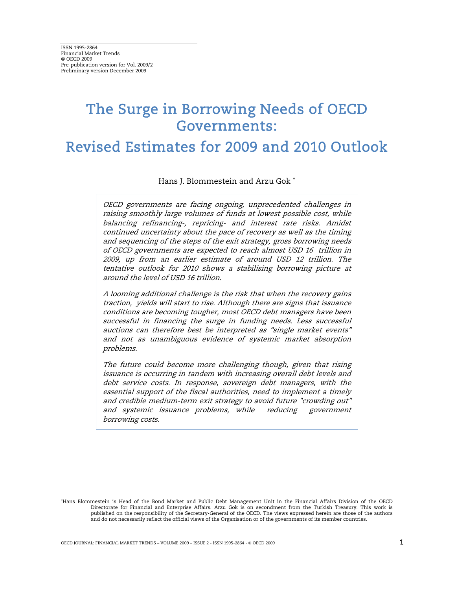# The Surge in Borrowing Needs of OECD Governments:

Revised Estimates for 2009 and 2010 Outlook

Hans J. Blommestein and Arzu Gok <sup>∗</sup>

OECD governments are facing ongoing, unprecedented challenges in raising smoothly large volumes of funds at lowest possible cost, while balancing refinancing-, repricing- and interest rate risks. Amidst continued uncertainty about the pace of recovery as well as the timing and sequencing of the steps of the exit strategy, gross borrowing needs of OECD governments are expected to reach almost USD 16 trillion in 2009, up from an earlier estimate of around USD 12 trillion. The tentative outlook for 2010 shows a stabilising borrowing picture at around the level of USD 16 trillion.

A looming additional challenge is the risk that when the recovery gains traction, yields will start to rise. Although there are signs that issuance conditions are becoming tougher, most OECD debt managers have been successful in financing the surge in funding needs. Less successful auctions can therefore best be interpreted as "single market events" and not as unambiguous evidence of systemic market absorption problems.

The future could become more challenging though, given that rising issuance is occurring in tandem with increasing overall debt levels and debt service costs. In response, sovereign debt managers, with the essential support of the fiscal authorities, need to implement a timely and credible medium-term exit strategy to avoid future "crowding out" and systemic issuance problems, while reducing government borrowing costs.

 $\overline{a}$ 

<sup>∗</sup> Hans Blommestein is Head of the Bond Market and Public Debt Management Unit in the Financial Affairs Division of the OECD Directorate for Financial and Enterprise Affairs. Arzu Gok is on secondment from the Turkish Treasury. This work is published on the responsibility of the Secretary-General of the OECD. The views expressed herein are those of the authors and do not necessarily reflect the official views of the Organisation or of the governments of its member countries.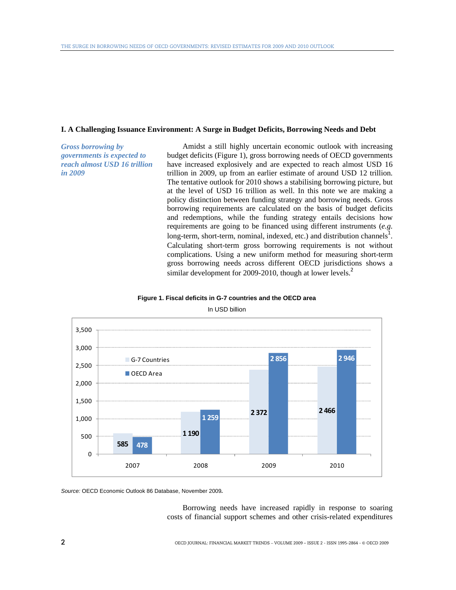# **I. A Challenging Issuance Environment: A Surge in Budget Deficits, Borrowing Needs and Debt**

*Gross borrowing by governments is expected to reach almost USD 16 trillion in 2009* 

Amidst a still highly uncertain economic outlook with increasing budget deficits (Figure 1), gross borrowing needs of OECD governments have increased explosively and are expected to reach almost USD 16 trillion in 2009, up from an earlier estimate of around USD 12 trillion. The tentative outlook for 2010 shows a stabilising borrowing picture, but at the level of USD 16 trillion as well. In this note we are making a policy distinction between funding strategy and borrowing needs. Gross borrowing requirements are calculated on the basis of budget deficits and redemptions, while the funding strategy entails decisions how requirements are going to be financed using different instruments (*e.g*. long-term, short-term, nominal, indexed, etc.) and distribution channels<sup>1</sup>. Calculating short-term gross borrowing requirements is not without complications. Using a new uniform method for measuring short-term gross borrowing needs across different OECD jurisdictions shows a similar development for 2009-2010, though at lower levels.<sup>2</sup>





In USD billion

*Source:* OECD Economic Outlook 86 Database, November 2009*.*

Borrowing needs have increased rapidly in response to soaring costs of financial support schemes and other crisis-related expenditures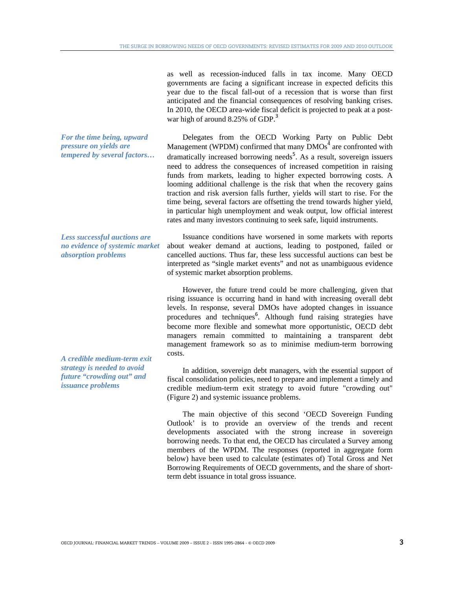as well as recession-induced falls in tax income. Many OECD governments are facing a significant increase in expected deficits this year due to the fiscal fall-out of a recession that is worse than first anticipated and the financial consequences of resolving banking crises. In 2010, the OECD area-wide fiscal deficit is projected to peak at a postwar high of around 8.25% of GDP.<sup>3</sup>

Delegates from the OECD Working Party on Public Debt Management (WPDM) confirmed that many  $\overline{DMOs}^4$  are confronted with dramatically increased borrowing needs<sup>5</sup>. As a result, sovereign issuers need to address the consequences of increased competition in raising funds from markets, leading to higher expected borrowing costs. A looming additional challenge is the risk that when the recovery gains traction and risk aversion falls further, yields will start to rise. For the time being, several factors are offsetting the trend towards higher yield, in particular high unemployment and weak output, low official interest rates and many investors continuing to seek safe, liquid instruments.

Issuance conditions have worsened in some markets with reports about weaker demand at auctions, leading to postponed, failed or cancelled auctions. Thus far, these less successful auctions can best be interpreted as "single market events" and not as unambiguous evidence of systemic market absorption problems.

However, the future trend could be more challenging, given that rising issuance is occurring hand in hand with increasing overall debt levels. In response, several DMOs have adopted changes in issuance procedures and techniques<sup>6</sup>. Although fund raising strategies have become more flexible and somewhat more opportunistic, OECD debt managers remain committed to maintaining a transparent debt management framework so as to minimise medium-term borrowing costs.

In addition, sovereign debt managers, with the essential support of fiscal consolidation policies, need to prepare and implement a timely and credible medium-term exit strategy to avoid future "crowding out" (Figure 2) and systemic issuance problems.

The main objective of this second 'OECD Sovereign Funding Outlook' is to provide an overview of the trends and recent developments associated with the strong increase in sovereign borrowing needs. To that end, the OECD has circulated a Survey among members of the WPDM. The responses (reported in aggregate form below) have been used to calculate (estimates of) Total Gross and Net Borrowing Requirements of OECD governments, and the share of shortterm debt issuance in total gross issuance.

*For the time being, upward pressure on yields are tempered by several factors…* 

*Less successful auctions are no evidence of systemic market absorption problems* 

*A credible medium-term exit strategy is needed to avoid future "crowding out" and issuance problems*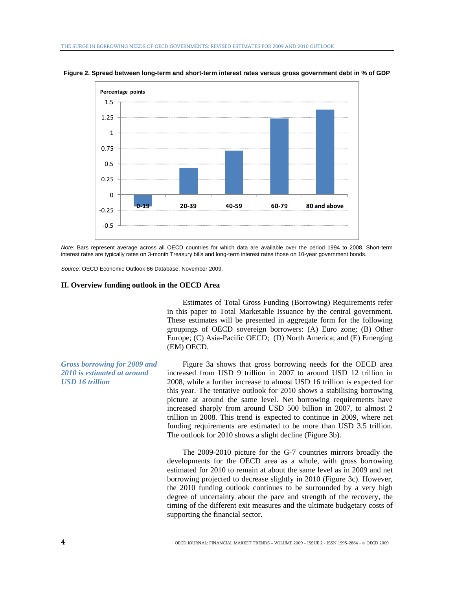

**Figure 2. Spread between long-term and short-term interest rates versus gross government debt in % of GDP** 

*Note:* Bars represent average across all OECD countries for which data are available over the period 1994 to 2008. Short-term interest rates are typically rates on 3-month Treasury bills and long-term interest rates those on 10-year government bonds.

*Source:* OECD Economic Outlook 86 Database, November 2009.

#### **II. Overview funding outlook in the OECD Area**

Estimates of Total Gross Funding (Borrowing) Requirements refer in this paper to Total Marketable Issuance by the central government. These estimates will be presented in aggregate form for the following groupings of OECD sovereign borrowers: (A) Euro zone; (B) Other Europe; (C) Asia-Pacific OECD; (D) North America; and (E) Emerging (EM) OECD.

Figure 3a shows that gross borrowing needs for the OECD area increased from USD 9 trillion in 2007 to around USD 12 trillion in 2008, while a further increase to almost USD 16 trillion is expected for this year. The tentative outlook for 2010 shows a stabilising borrowing picture at around the same level. Net borrowing requirements have increased sharply from around USD 500 billion in 2007, to almost 2 trillion in 2008. This trend is expected to continue in 2009, where net funding requirements are estimated to be more than USD 3.5 trillion. The outlook for 2010 shows a slight decline (Figure 3b).

The 2009-2010 picture for the G-7 countries mirrors broadly the developments for the OECD area as a whole, with gross borrowing estimated for 2010 to remain at about the same level as in 2009 and net borrowing projected to decrease slightly in 2010 (Figure 3c). However, the 2010 funding outlook continues to be surrounded by a very high degree of uncertainty about the pace and strength of the recovery, the timing of the different exit measures and the ultimate budgetary costs of supporting the financial sector.

*Gross borrowing for 2009 and 2010 is estimated at around USD 16 trillion*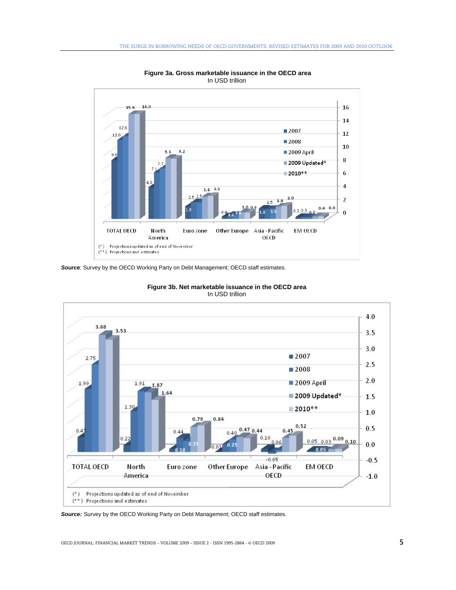

 **Figure 3a. Gross marketable issuance in the OECD area**  In USD trillion

**Source**: Survey by the OECD Working Party on Debt Management; OECD staff estimates.



**Figure 3b. Net marketable issuance in the OECD area**  In USD trillion

*Source:* Survey by the OECD Working Party on Debt Management; OECD staff estimates.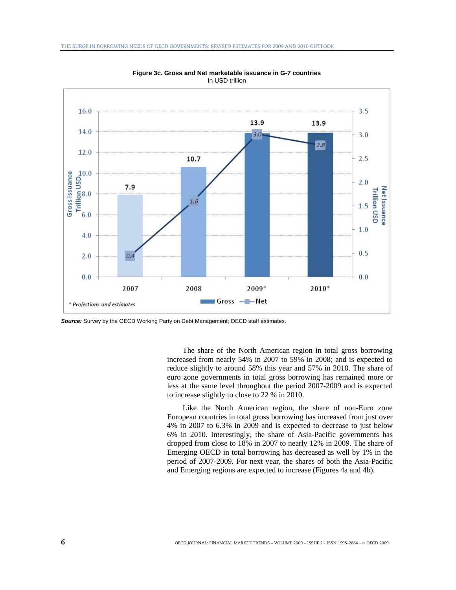

**Figure 3c. Gross and Net marketable issuance in G-7 countries**  In USD trillion

*Source:* Survey by the OECD Working Party on Debt Management; OECD staff estimates.

The share of the North American region in total gross borrowing increased from nearly 54% in 2007 to 59% in 2008; and is expected to reduce slightly to around 58% this year and 57% in 2010. The share of euro zone governments in total gross borrowing has remained more or less at the same level throughout the period 2007-2009 and is expected to increase slightly to close to 22 % in 2010.

Like the North American region, the share of non-Euro zone European countries in total gross borrowing has increased from just over 4% in 2007 to 6.3% in 2009 and is expected to decrease to just below 6% in 2010. Interestingly, the share of Asia-Pacific governments has dropped from close to 18% in 2007 to nearly 12% in 2009. The share of Emerging OECD in total borrowing has decreased as well by 1% in the period of 2007-2009. For next year, the shares of both the Asia-Pacific and Emerging regions are expected to increase (Figures 4a and 4b).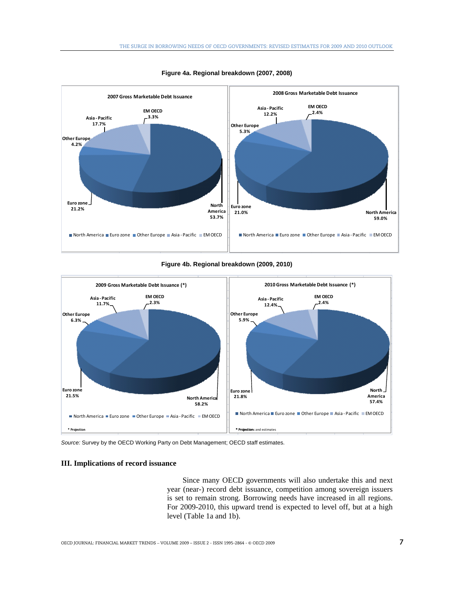

![](_page_6_Figure_2.jpeg)

**Figure 4b. Regional breakdown (2009, 2010)** 

![](_page_6_Figure_4.jpeg)

*Source:* Survey by the OECD Working Party on Debt Management; OECD staff estimates.

### **III. Implications of record issuance**

Since many OECD governments will also undertake this and next year (near-) record debt issuance, competition among sovereign issuers is set to remain strong. Borrowing needs have increased in all regions. For 2009-2010, this upward trend is expected to level off, but at a high level (Table 1a and 1b).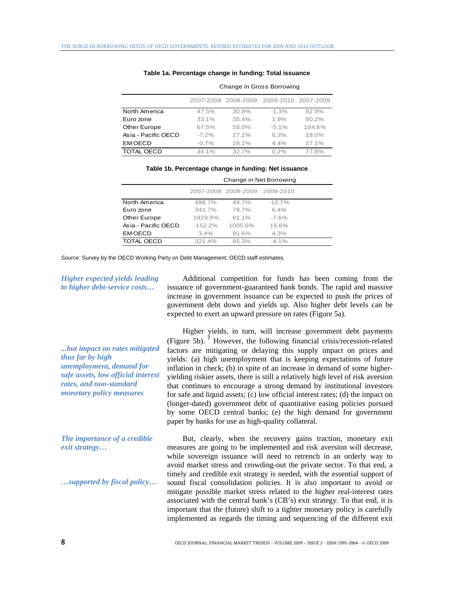|                     |          | 2007-2008 2008-2009 | 2009-2010 2007-2009 |        |
|---------------------|----------|---------------------|---------------------|--------|
| North America       | 47.5%    | 30.8%               | $-1.3%$             | 92.9%  |
| Euro zone           | 33.1%    | 35.4%               | 1.9%                | 80.2%  |
| Other Europe        | 67.5%    | 58.0%               | $-5.1%$             | 164.6% |
| Asia - Pacific OECD | $-7.2\%$ | 27.1%               | 6.3%                | 18.0%  |
| <b>EMOECD</b>       | $-0.7%$  | 28.1%               | 4.4%                | 27.1%  |
| <b>TOTAL OECD</b>   | 34.1%    | 32.7%               | 0.2%                | 77.8%  |

#### **Table 1a. Percentage change in funding: Total issuance**

Change in Gross Borrowing

**Table 1b. Percentage change in funding: Net issuance** 

|                     | Change in Net Borrowing |                               |          |  |
|---------------------|-------------------------|-------------------------------|----------|--|
|                     |                         | 2007-2008 2008-2009 2009-2010 |          |  |
| North America       | 498.7%                  | 44.7%                         | $-12.7%$ |  |
| Euro zone           | 341.7%                  | 78.7%                         | 6.4%     |  |
| Other Europe        | 1929.9%                 | $91.1\%$                      | $-7.6%$  |  |
| Asia - Pacific OECD | $-152.2%$               | 1000.6%                       | 15.6%    |  |
| <b>EMOECD</b>       | 3.4%                    | 91.6%                         | 4.3%     |  |
| <b>TOTAL OECD</b>   | 321.4%                  | 85.3%                         | $-4.1\%$ |  |

*Source:* Survey by the OECD Working Party on Debt Management; OECD staff estimates.

## *Higher expected yields leading to higher debt-service costs…*

*...but impact on rates mitigated thus far by high unemployment, demand for safe assets, low official interest rates, and non-standard monetary policy measures* 

*The importance of a credible exit strategy…* 

*…supported by fiscal policy…* 

Additional competition for funds has been coming from the issuance of government-guaranteed bank bonds. The rapid and massive increase in government issuance can be expected to push the prices of government debt down and yields up. Also higher debt levels can be expected to exert an upward pressure on rates (Figure 5a).

Higher yields, in turn, will increase government debt payments (Figure 5b).  $\frac{1}{7}$  However, the following financial crisis/recession-related factors are mitigating or delaying this supply impact on prices and yields: (a) high unemployment that is keeping expectations of future inflation in check; (b) in spite of an increase in demand of some higheryielding riskier assets, there is still a relatively high level of risk aversion that continues to encourage a strong demand by institutional investors for safe and liquid assets; (c) low official interest rates; (d) the impact on (longer-dated) government debt of quantitative easing policies pursued by some OECD central banks; (e) the high demand for government paper by banks for use as high-quality collateral.

But, clearly, when the recovery gains traction, monetary exit measures are going to be implemented and risk aversion will decrease, while sovereign issuance will need to retrench in an orderly way to avoid market stress and crowding-out the private sector. To that end, a timely and credible exit strategy is needed, with the essential support of sound fiscal consolidation policies. It is also important to avoid or mitigate possible market stress related to the higher real-interest rates associated with the central bank's (CB's) exit strategy. To that end, it is important that the (future) shift to a tighter monetary policy is carefully implemented as regards the timing and sequencing of the different exit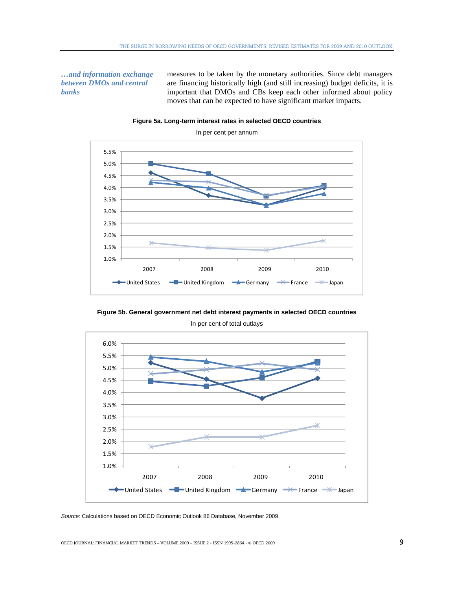*…and information exchange between DMOs and central banks* 

measures to be taken by the monetary authorities. Since debt managers are financing historically high (and still increasing) budget deficits, it is important that DMOs and CBs keep each other informed about policy moves that can be expected to have significant market impacts.

![](_page_8_Figure_3.jpeg)

**Figure 5a. Long-term interest rates in selected OECD countries** 

**Figure 5b. General government net debt interest payments in selected OECD countries**  In per cent of total outlays

![](_page_8_Figure_6.jpeg)

*Source:* Calculations based on OECD Economic Outlook 86 Database, November 2009.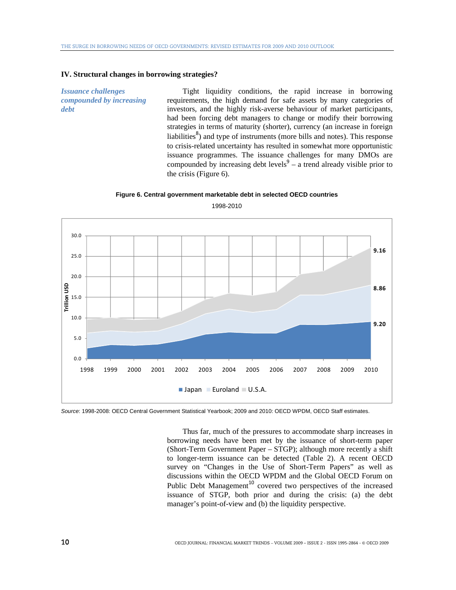# **IV. Structural changes in borrowing strategies?**

*Issuance challenges compounded by increasing debt* 

Tight liquidity conditions, the rapid increase in borrowing requirements, the high demand for safe assets by many categories of investors, and the highly risk-averse behaviour of market participants, had been forcing debt managers to change or modify their borrowing strategies in terms of maturity (shorter), currency (an increase in foreign liabilities $\delta$ ) and type of instruments (more bills and notes). This response to crisis-related uncertainty has resulted in somewhat more opportunistic issuance programmes. The issuance challenges for many DMOs are compounded by increasing debt levels $9 - a$  trend already visible prior to the crisis (Figure 6).

#### **Figure 6. Central government marketable debt in selected OECD countries**

![](_page_9_Figure_5.jpeg)

1998-2010

*Source*: 1998-2008: OECD Central Government Statistical Yearbook; 2009 and 2010: OECD WPDM, OECD Staff estimates.

Thus far, much of the pressures to accommodate sharp increases in borrowing needs have been met by the issuance of short-term paper (Short-Term Government Paper – STGP); although more recently a shift to longer-term issuance can be detected (Table 2). A recent OECD survey on "Changes in the Use of Short-Term Papers" as well as discussions within the OECD WPDM and the Global OECD Forum on Public Debt Management<sup>10</sup> covered two perspectives of the increased issuance of STGP, both prior and during the crisis: (a) the debt manager's point-of-view and (b) the liquidity perspective.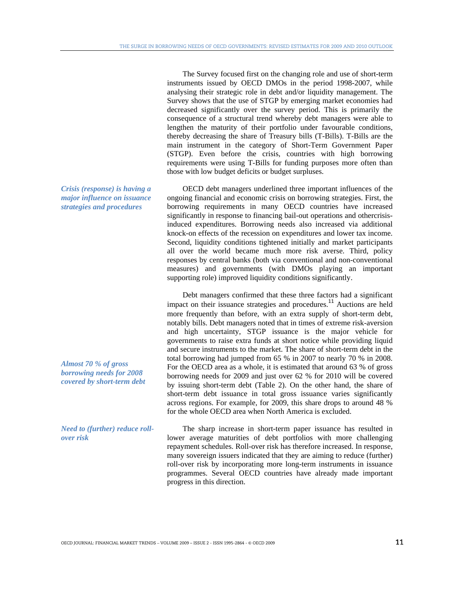The Survey focused first on the changing role and use of short-term instruments issued by OECD DMOs in the period 1998-2007, while analysing their strategic role in debt and/or liquidity management. The Survey shows that the use of STGP by emerging market economies had decreased significantly over the survey period. This is primarily the consequence of a structural trend whereby debt managers were able to lengthen the maturity of their portfolio under favourable conditions, thereby decreasing the share of Treasury bills (T-Bills). T-Bills are the main instrument in the category of Short-Term Government Paper (STGP). Even before the crisis, countries with high borrowing requirements were using T-Bills for funding purposes more often than those with low budget deficits or budget surpluses.

OECD debt managers underlined three important influences of the ongoing financial and economic crisis on borrowing strategies. First, the borrowing requirements in many OECD countries have increased significantly in response to financing bail-out operations and othercrisisinduced expenditures. Borrowing needs also increased via additional knock-on effects of the recession on expenditures and lower tax income. Second, liquidity conditions tightened initially and market participants all over the world became much more risk averse. Third, policy responses by central banks (both via conventional and non-conventional measures) and governments (with DMOs playing an important supporting role) improved liquidity conditions significantly.

Debt managers confirmed that these three factors had a significant impact on their issuance strategies and procedures.<sup>11</sup> Auctions are held more frequently than before, with an extra supply of short-term debt, notably bills. Debt managers noted that in times of extreme risk-aversion and high uncertainty, STGP issuance is the major vehicle for governments to raise extra funds at short notice while providing liquid and secure instruments to the market. The share of short-term debt in the total borrowing had jumped from 65 % in 2007 to nearly 70 % in 2008. For the OECD area as a whole, it is estimated that around 63 % of gross borrowing needs for 2009 and just over 62 % for 2010 will be covered by issuing short-term debt (Table 2). On the other hand, the share of short-term debt issuance in total gross issuance varies significantly across regions. For example, for 2009, this share drops to around 48 % for the whole OECD area when North America is excluded.

The sharp increase in short-term paper issuance has resulted in lower average maturities of debt portfolios with more challenging repayment schedules. Roll-over risk has therefore increased. In response, many sovereign issuers indicated that they are aiming to reduce (further) roll-over risk by incorporating more long-term instruments in issuance programmes. Several OECD countries have already made important progress in this direction.

*Crisis (response) is having a major influence on issuance strategies and procedures* 

*Almost 70 % of gross borrowing needs for 2008 covered by short-term debt* 

*Need to (further) reduce rollover risk*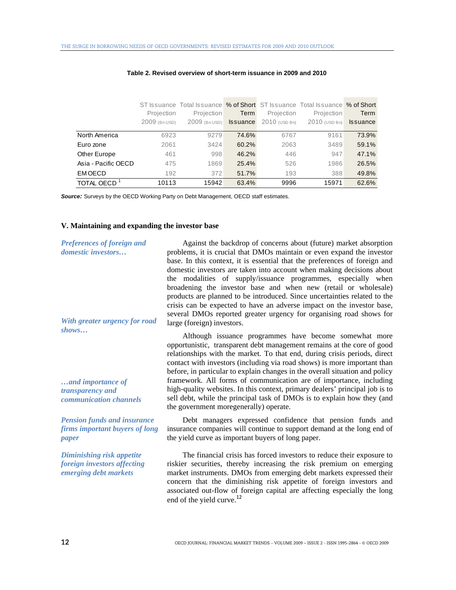|                     | Projection<br>2009 (Bn USD) | Projection<br>2009 (Bn USD) | Term<br><b>Issuance</b> | Projection<br>2010 (USD Bn) | ST Issuance Total Issuance % of Short ST Issuance Total Issuance % of Short<br>Projection<br>2010 (USD Bn) | Term<br><b>Issuance</b> |
|---------------------|-----------------------------|-----------------------------|-------------------------|-----------------------------|------------------------------------------------------------------------------------------------------------|-------------------------|
| North America       | 6923                        | 9279                        | 74.6%                   | 6767                        | 9161                                                                                                       | 73.9%                   |
| Euro zone           | 2061                        | 3424                        | 60.2%                   | 2063                        | 3489                                                                                                       | 59.1%                   |
| Other Europe        | 461                         | 998                         | 46.2%                   | 446                         | 947                                                                                                        | 47.1%                   |
| Asia - Pacific OECD | 475                         | 1869                        | 25.4%                   | 526                         | 1986                                                                                                       | 26.5%                   |
| EM OECD             | 192                         | 372                         | 51.7%                   | 193                         | 388                                                                                                        | 49.8%                   |
| TOTAL OECD          | 10113                       | 15942                       | 63.4%                   | 9996                        | 15971                                                                                                      | 62.6%                   |

#### **Table 2. Revised overview of short-term issuance in 2009 and 2010**

*Source:* Surveys by the OECD Working Party on Debt Management, OECD staff estimates.

# **V. Maintaining and expanding the investor base**

| Preferences of foreign and<br><i>domestic investors</i><br>With greater urgency for road | Against the backdrop of concerns about (future) market absorption<br>problems, it is crucial that DMOs maintain or even expand the investor<br>base. In this context, it is essential that the preferences of foreign and<br>domestic investors are taken into account when making decisions about<br>the modalities of supply/issuance programmes, especially when<br>broadening the investor base and when new (retail or wholesale)<br>products are planned to be introduced. Since uncertainties related to the<br>crisis can be expected to have an adverse impact on the investor base,<br>several DMOs reported greater urgency for organising road shows for<br>large (foreign) investors. |
|------------------------------------------------------------------------------------------|----------------------------------------------------------------------------------------------------------------------------------------------------------------------------------------------------------------------------------------------------------------------------------------------------------------------------------------------------------------------------------------------------------------------------------------------------------------------------------------------------------------------------------------------------------------------------------------------------------------------------------------------------------------------------------------------------|
| shows<br>and importance of<br>transparency and<br>communication channels                 | Although issuance programmes have become somewhat more<br>opportunistic, transparent debt management remains at the core of good<br>relationships with the market. To that end, during crisis periods, direct<br>contact with investors (including via road shows) is more important than<br>before, in particular to explain changes in the overall situation and policy<br>framework. All forms of communication are of importance, including<br>high-quality websites. In this context, primary dealers' principal job is to<br>sell debt, while the principal task of DMOs is to explain how they (and<br>the government moregenerally) operate.                                               |
| <b>Pension funds and insurance</b><br>firms important buyers of long<br>paper            | Debt managers expressed confidence that pension funds and<br>insurance companies will continue to support demand at the long end of<br>the yield curve as important buyers of long paper.                                                                                                                                                                                                                                                                                                                                                                                                                                                                                                          |
| Diminishing risk appetite<br>foreign investors affecting<br>emerging debt markets        | The financial crisis has forced investors to reduce their exposure to<br>riskier securities, thereby increasing the risk premium on emerging<br>market instruments. DMOs from emerging debt markets expressed their<br>concern that the diminishing risk appetite of foreign investors and<br>associated out-flow of foreign capital are affecting especially the long                                                                                                                                                                                                                                                                                                                             |

end of the yield curve.<sup>12</sup>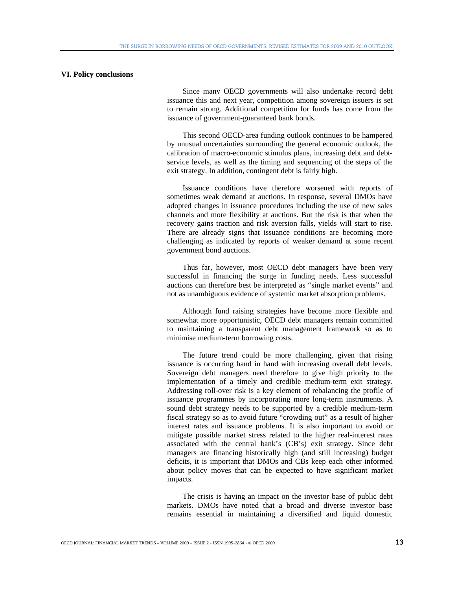### **VI. Policy conclusions**

Since many OECD governments will also undertake record debt issuance this and next year, competition among sovereign issuers is set to remain strong. Additional competition for funds has come from the issuance of government-guaranteed bank bonds.

This second OECD-area funding outlook continues to be hampered by unusual uncertainties surrounding the general economic outlook, the calibration of macro-economic stimulus plans, increasing debt and debtservice levels, as well as the timing and sequencing of the steps of the exit strategy. In addition, contingent debt is fairly high.

Issuance conditions have therefore worsened with reports of sometimes weak demand at auctions. In response, several DMOs have adopted changes in issuance procedures including the use of new sales channels and more flexibility at auctions. But the risk is that when the recovery gains traction and risk aversion falls, yields will start to rise. There are already signs that issuance conditions are becoming more challenging as indicated by reports of weaker demand at some recent government bond auctions.

Thus far, however, most OECD debt managers have been very successful in financing the surge in funding needs. Less successful auctions can therefore best be interpreted as "single market events" and not as unambiguous evidence of systemic market absorption problems.

Although fund raising strategies have become more flexible and somewhat more opportunistic, OECD debt managers remain committed to maintaining a transparent debt management framework so as to minimise medium-term borrowing costs.

The future trend could be more challenging, given that rising issuance is occurring hand in hand with increasing overall debt levels. Sovereign debt managers need therefore to give high priority to the implementation of a timely and credible medium-term exit strategy. Addressing roll-over risk is a key element of rebalancing the profile of issuance programmes by incorporating more long-term instruments. A sound debt strategy needs to be supported by a credible medium-term fiscal strategy so as to avoid future "crowding out" as a result of higher interest rates and issuance problems. It is also important to avoid or mitigate possible market stress related to the higher real-interest rates associated with the central bank's (CB's) exit strategy. Since debt managers are financing historically high (and still increasing) budget deficits, it is important that DMOs and CBs keep each other informed about policy moves that can be expected to have significant market impacts.

The crisis is having an impact on the investor base of public debt markets. DMOs have noted that a broad and diverse investor base remains essential in maintaining a diversified and liquid domestic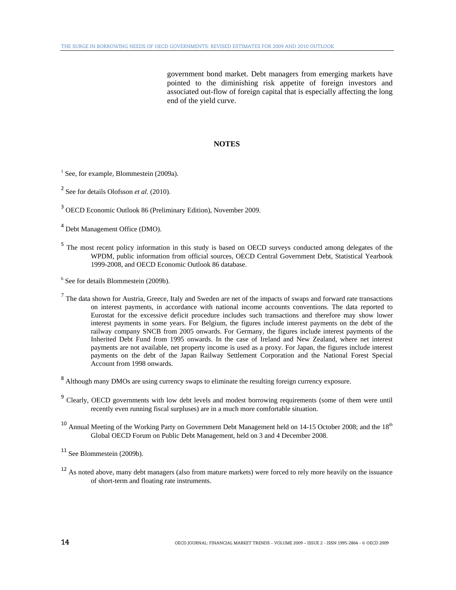government bond market. Debt managers from emerging markets have pointed to the diminishing risk appetite of foreign investors and associated out-flow of foreign capital that is especially affecting the long end of the yield curve.

# 3B**NOTES**

- <sup>1</sup> See, for example, Blommestein (2009a).
- 2 See for details Olofsson *et al.* (2010).
- 3 OECD Economic Outlook 86 (Preliminary Edition), November 2009.
- 4 Debt Management Office (DMO).
- <sup>5</sup> The most recent policy information in this study is based on OECD surveys conducted among delegates of the WPDM, public information from official sources, OECD Central Government Debt, Statistical Yearbook 1999-2008, and OECD Economic Outlook 86 database.
- 6 See for details Blommestein (2009b).
- $<sup>7</sup>$  The data shown for Austria, Greece, Italy and Sweden are net of the impacts of swaps and forward rate transactions</sup> on interest payments, in accordance with national income accounts conventions. The data reported to Eurostat for the excessive deficit procedure includes such transactions and therefore may show lower interest payments in some years. For Belgium, the figures include interest payments on the debt of the railway company SNCB from 2005 onwards. For Germany, the figures include interest payments of the Inherited Debt Fund from 1995 onwards. In the case of Ireland and New Zealand, where net interest payments are not available, net property income is used as a proxy. For Japan, the figures include interest payments on the debt of the Japan Railway Settlement Corporation and the National Forest Special Account from 1998 onwards.
- <sup>8</sup> Although many DMOs are using currency swaps to eliminate the resulting foreign currency exposure.
- <sup>9</sup> Clearly, OECD governments with low debt levels and modest borrowing requirements (some of them were until recently even running fiscal surpluses) are in a much more comfortable situation.
- $10$  Annual Meeting of the Working Party on Government Debt Management held on 14-15 October 2008; and the  $18<sup>th</sup>$ Global OECD Forum on Public Debt Management, held on 3 and 4 December 2008.

<sup>11</sup> See Blommestein (2009b).

<sup>12</sup> As noted above, many debt managers (also from mature markets) were forced to rely more heavily on the issuance of short-term and floating rate instruments.